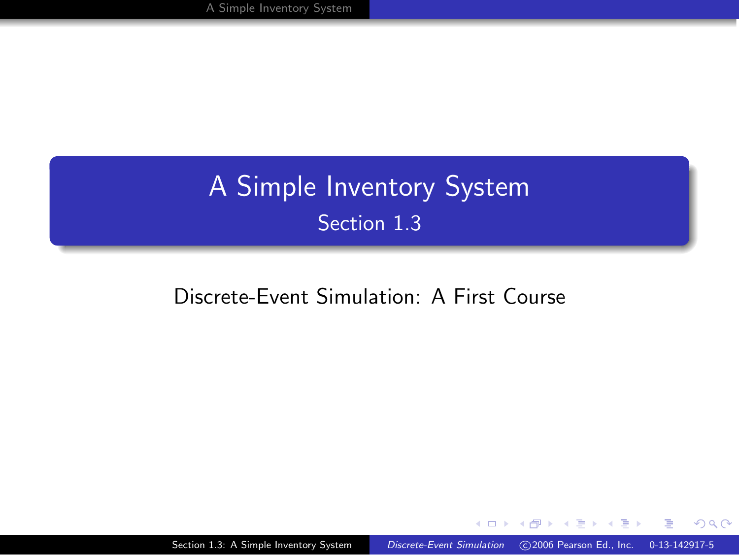# A Simple Inventory System Section 1.3

#### Discrete-Event Simulation: A First Course

Section 1.3: A Simple Inventory System Discrete-Event Simulation ([2006 Pearson Ed., Inc. 0-13-142917-5](#page-26-0)

<span id="page-0-0"></span> $\Box$ 

 $2990$ 

∍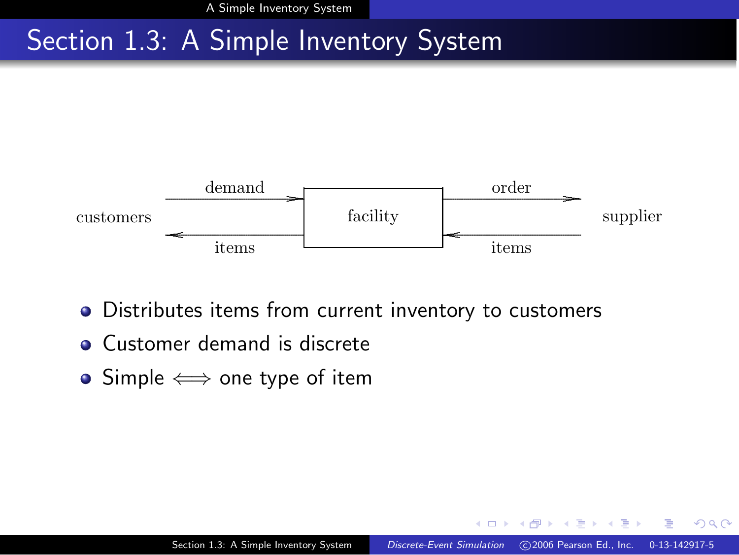# Section 1.3: A Simple Inventory System



- Distributes items from current inventory to customers
- Customer demand is discrete
- Simple  $\iff$  one type of item

<span id="page-1-0"></span> $\Omega$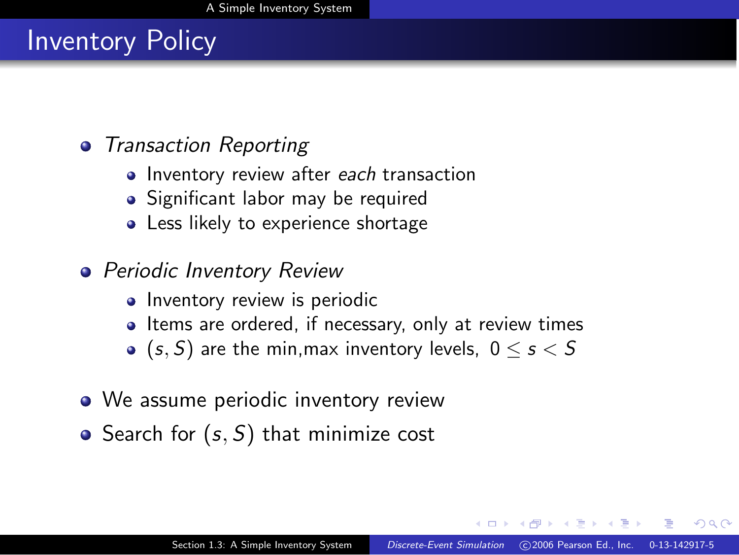# Inventory Policy

#### **•** Transaction Reporting

- Inventory review after each transaction
- Significant labor may be required
- Less likely to experience shortage

### **•** Periodic Inventory Review

- Inventory review is periodic
- Items are ordered, if necessary, only at review times
- (s, S) are the min, max inventory levels,  $0 \le s \le S$
- We assume periodic inventory review
- Search for  $(s, S)$  that minimize cost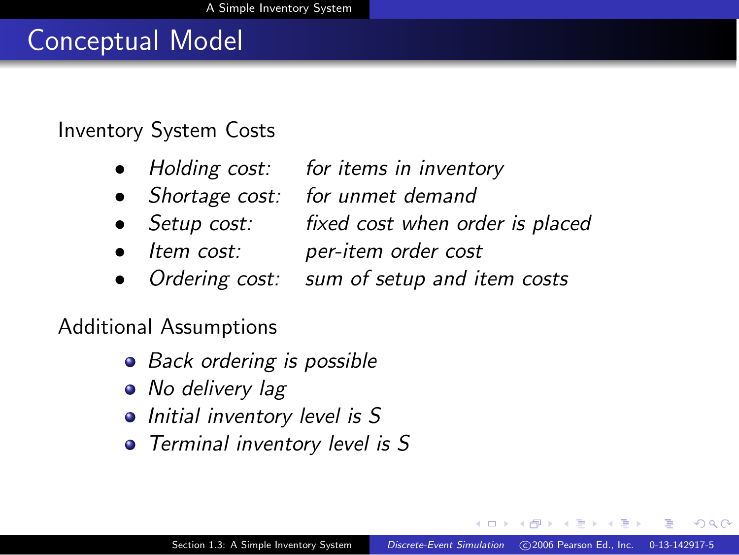## Conceptual Model

### Inventory System Costs

- Holding cost: for items in inventory
- Shortage cost: for unmet demand
- Setup cost: fixed cost when order is placed
- Item cost: per-item order cost
- Ordering cost: sum of setup and item costs

### Additional Assumptions

- Back ordering is possible
- No delivery lag
- Initial inventory level is S
- Terminal inventory level is S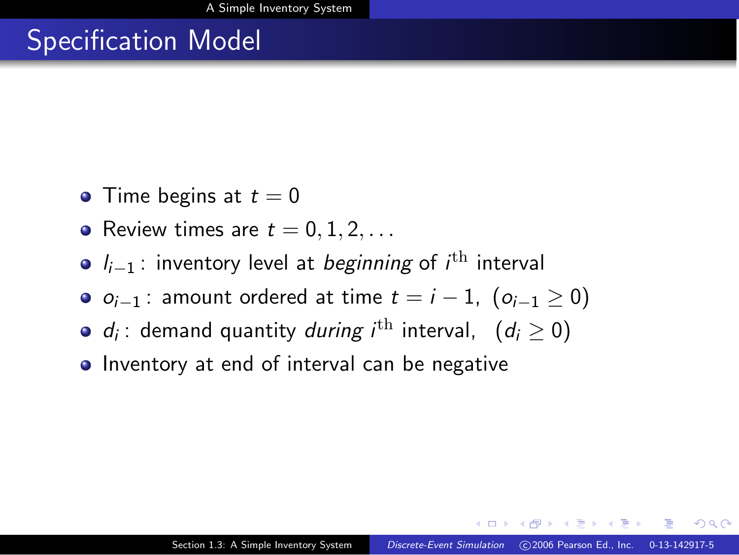# Specification Model

- Time begins at  $t = 0$
- Review times are  $t = 0, 1, 2, \ldots$
- $l_{i-1}$ : inventory level at *beginning* of *i*<sup>th</sup> interval
- $\bullet$   $o_{i-1}$ : amount ordered at time  $t = i 1$ ,  $(o_{i-1} > 0)$
- $d_i$ : demand quantity *during i*<sup>th</sup> interval,  $(d_i \geq 0)$
- **Inventory at end of interval can be negative**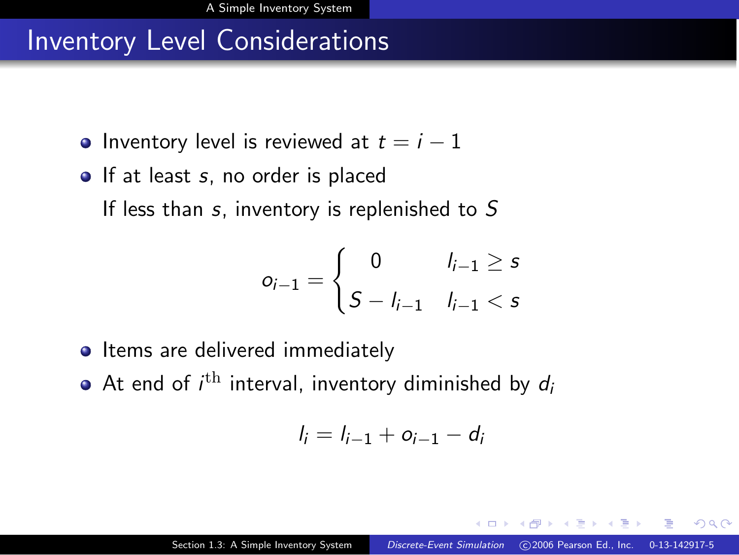## Inventory Level Considerations

- Inventory level is reviewed at  $t = i 1$
- $\bullet$  If at least s, no order is placed

If less than s, inventory is replenished to S

$$
o_{i-1} = \begin{cases} 0 & l_{i-1} \ge s \\ S - l_{i-1} & l_{i-1} < s \end{cases}
$$

- Items are delivered immediately
- At end of  $i^{\text{th}}$  interval, inventory diminished by  $d_i$

$$
l_i = l_{i-1} + o_{i-1} - d_i
$$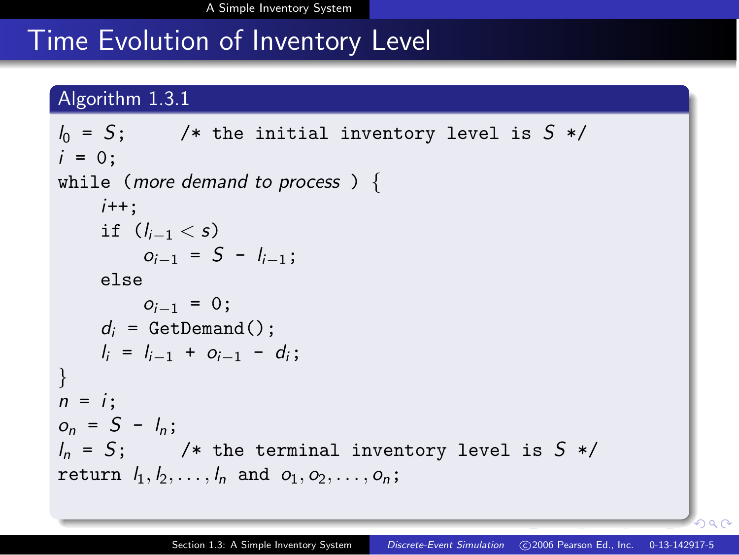# Time Evolution of Inventory Level

#### Algorithm 1.3.1

```
l_0 = S; /* the initial inventory level is S \times li = 0:
while (more demand to process) \{i++:
    if (l_{i-1} < s)o_{i-1} = S - l_{i-1};
    else
        Q_{i-1} = 0:
    d_i = GetDemand();
    l_i = l_{i-1} + o_{i-1} - d_i;}
n = i;
o_n = S - l_n;l_n = S; /* the terminal inventory level is S */
return l_1, l_2, ..., l_n and o_1, o_2, ..., o_n;
```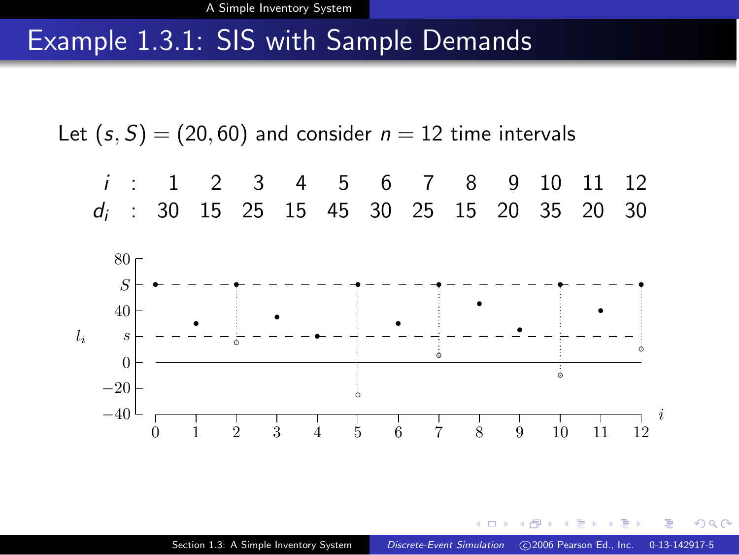## Example 1.3.1: SIS with Sample Demands

Let  $(s, S) = (20, 60)$  and consider  $n = 12$  time intervals



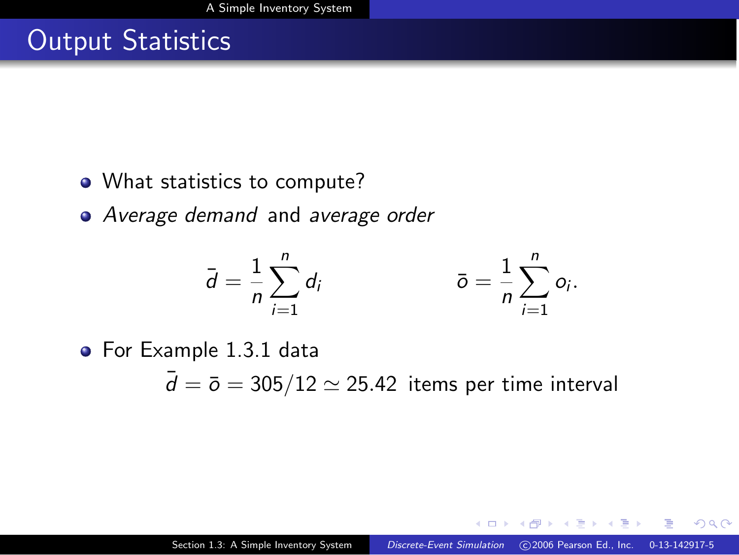# Output Statistics

- What statistics to compute?
- Average demand and average order

$$
\bar{d} = \frac{1}{n} \sum_{i=1}^n d_i \qquad \qquad \bar{o} = \frac{1}{n} \sum_{i=1}^n o_i.
$$

For Example 1.3.1 data  $\overline{d} = \overline{o} = 305/12 \simeq 25.42$  items per time interval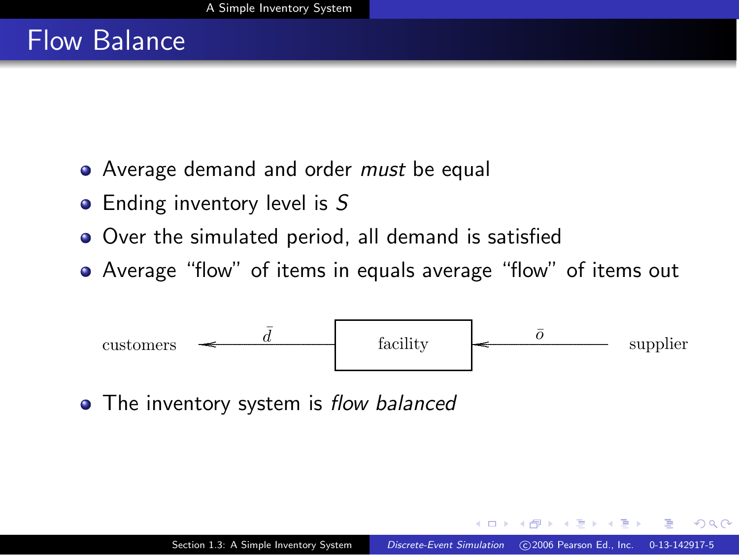# Flow Balance

- Average demand and order *must* be equal
- Ending inventory level is S
- Over the simulated period, all demand is satisfied
- Average "flow" of items in equals average "flow" of items out

$$
\text{customers} \quad \overline{d} \quad \text{facility} \quad \overline{o} \quad \text{supplier}
$$

• The inventory system is flow balanced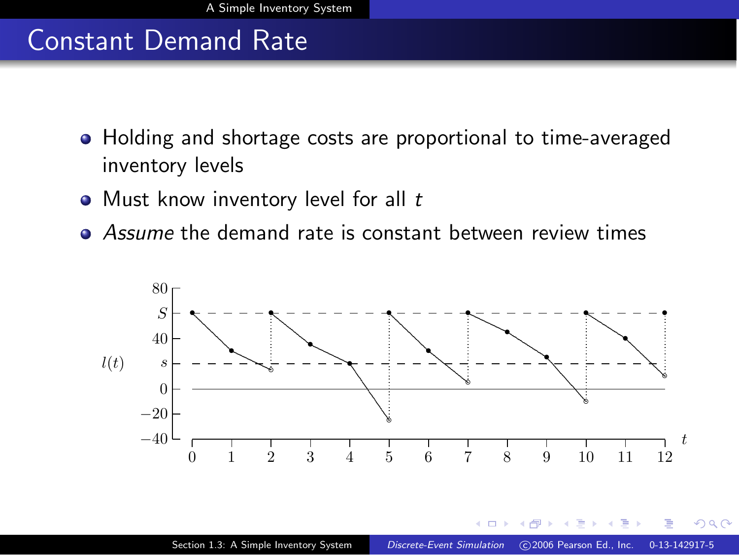# Constant Demand Rate

- Holding and shortage costs are proportional to time-averaged inventory levels
- $\bullet$  Must know inventory level for all  $t$
- Assume the demand rate is constant between review times

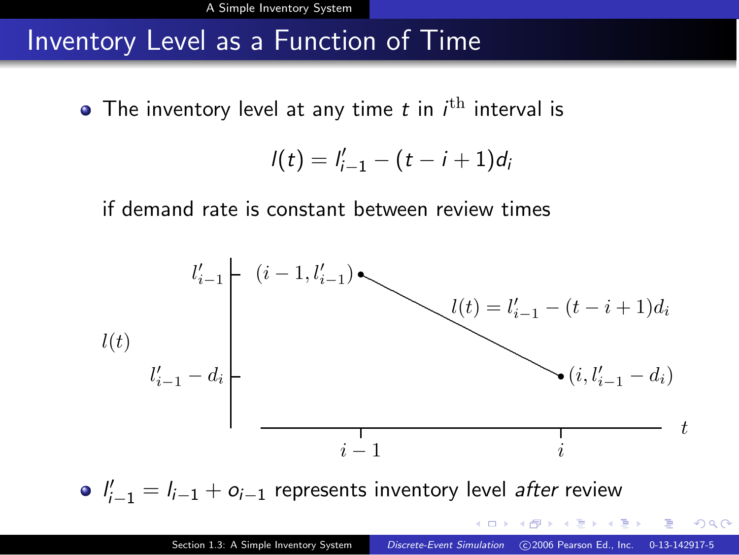### Inventory Level as a Function of Time

The inventory level at any time  $t$  in  $i^{\rm th}$  interval is

$$
I(t)=I_{i-1}'-(t-i+1)d_i
$$

if demand rate is constant between review times

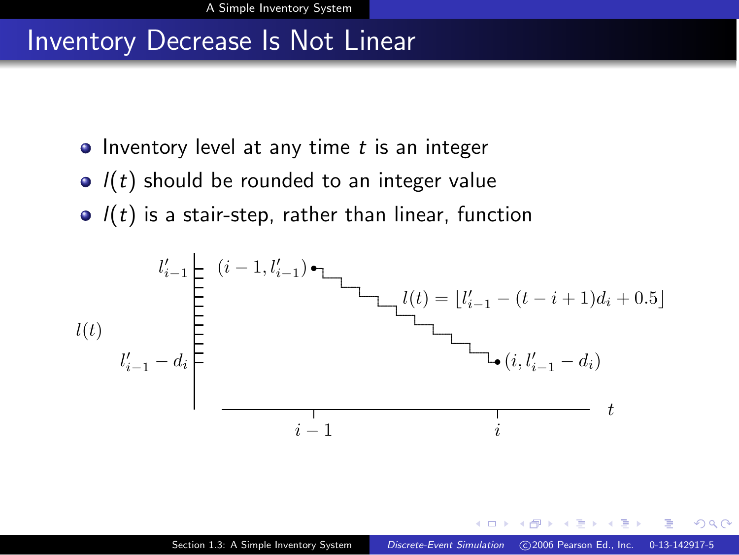### Inventory Decrease Is Not Linear

- $\bullet$  Inventory level at any time t is an integer
- $l(t)$  should be rounded to an integer value
- $l(t)$  is a stair-step, rather than linear, function

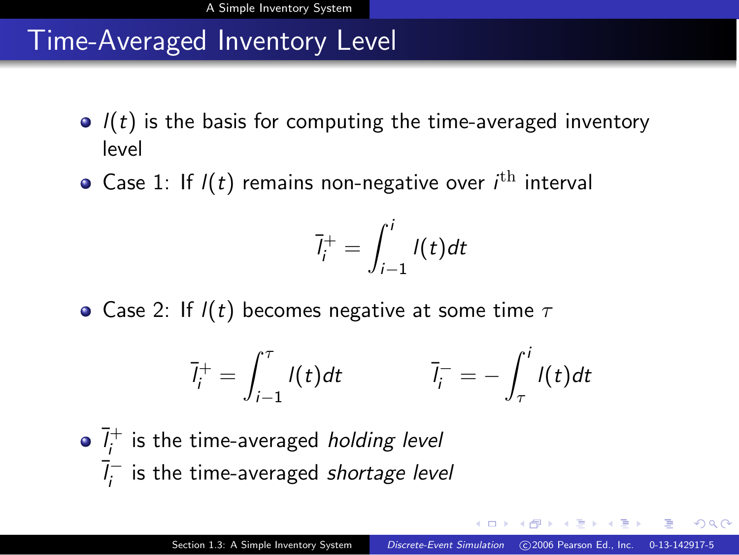## Time-Averaged Inventory Level

- $\bullet$   $\ell(t)$  is the basis for computing the time-averaged inventory level
- Case 1: If  $I(t)$  remains non-negative over  $i^{\text{th}}$  interval

$$
\bar{l}_i^+ = \int_{i-1}^i l(t) dt
$$

• Case 2: If  $I(t)$  becomes negative at some time  $\tau$ 

$$
\bar{l}_i^+ = \int_{i-1}^{\tau} l(t) dt \qquad \qquad \bar{l}_i^- = -\int_{\tau}^i l(t) dt
$$

• 
$$
\overline{I}_i^+
$$
 is the time-averaged holding level  $\overline{I}_i^-$  is the time-averaged shortage level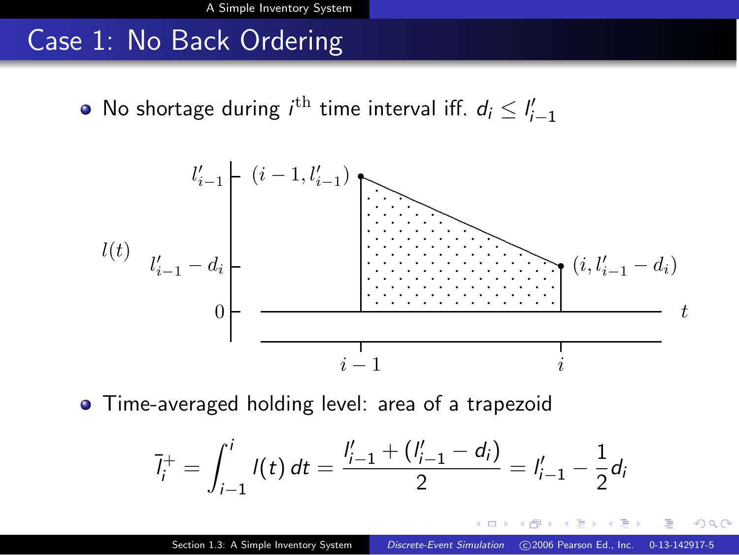## Case 1: No Back Ordering

No shortage during  $i^{\text{th}}$  time interval iff.  $d_i \leq l'_{i-1}$ 



**•** Time-averaged holding level: area of a trapezoid

$$
\bar{l}_i^+ = \int_{i-1}^i l(t) dt = \frac{l'_{i-1} + (l'_{i-1} - d_i)}{2} = l'_{i-1} - \frac{1}{2} d_i
$$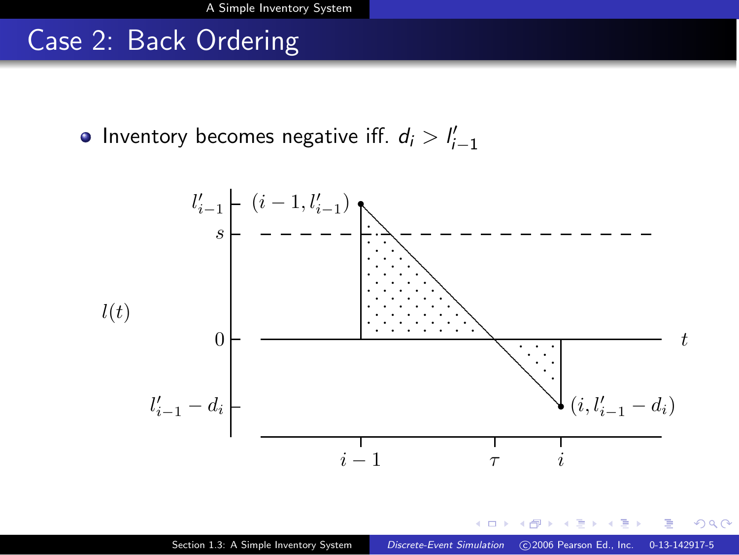# Case 2: Back Ordering

Inventory becomes negative iff.  $d_i > l'_{i-1}$ 

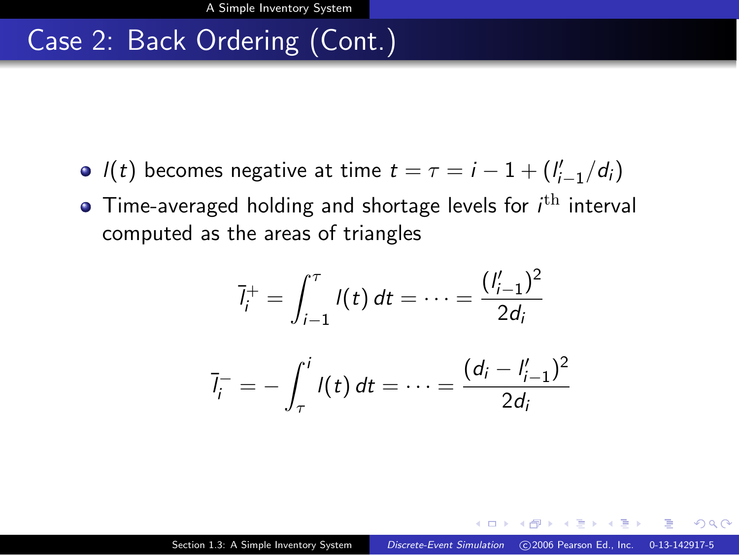# Case 2: Back Ordering (Cont.)

- $l(t)$  becomes negative at time  $t = \tau = i 1 + (l'_{i-1}/d_i)$
- Time-averaged holding and shortage levels for  $i^{\text{th}}$  interval computed as the areas of triangles

$$
\bar{l}_i^+ = \int_{i-1}^{\tau} l(t) dt = \cdots = \frac{(l'_{i-1})^2}{2d_i}
$$

$$
\bar{l}_i^- = -\int_{\tau}^i l(t) \, dt = \cdots = \frac{(d_i - l'_{i-1})^2}{2d_i}
$$

 $\Omega$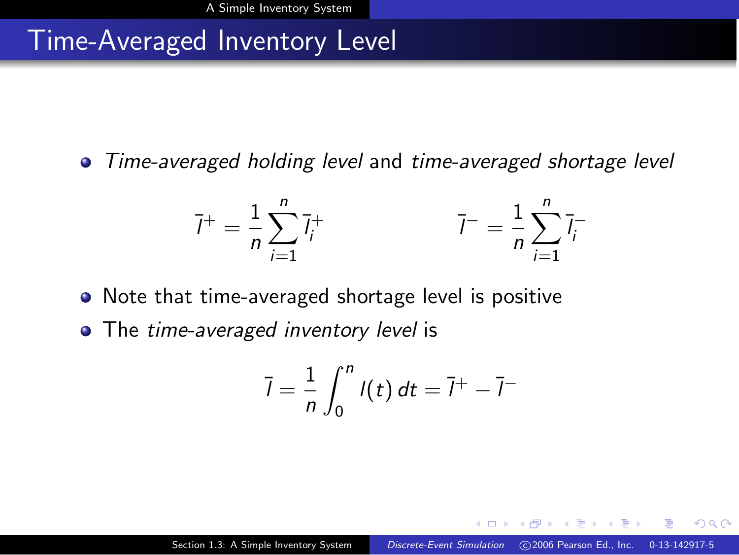## Time-Averaged Inventory Level

Time-averaged holding level and time-averaged shortage level

$$
\bar{l}^{+} = \frac{1}{n} \sum_{i=1}^{n} \bar{l}_{i}^{+} \qquad \qquad \bar{l}^{-} = \frac{1}{n} \sum_{i=1}^{n} \bar{l}_{i}^{-}
$$

- Note that time-averaged shortage level is positive
- The time-averaged inventory level is

$$
\bar{l} = \frac{1}{n} \int_0^n l(t) \, dt = \bar{l}^+ - \bar{l}^-
$$

つへへ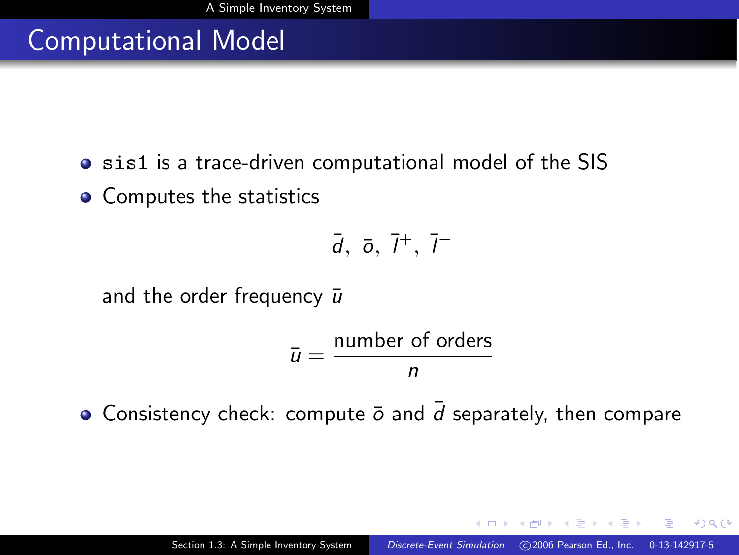# Computational Model

- **•** sis1 is a trace-driven computational model of the SIS
- Computes the statistics

$$
\bar{d},\ \bar{o},\ \bar{l}^+,\ \bar{l}^-
$$

and the order frequency  $\bar{u}$ 

$$
\bar{u} = \frac{\text{number of orders}}{n}
$$

• Consistency check: compute  $\overline{o}$  and  $\overline{d}$  separately, then compare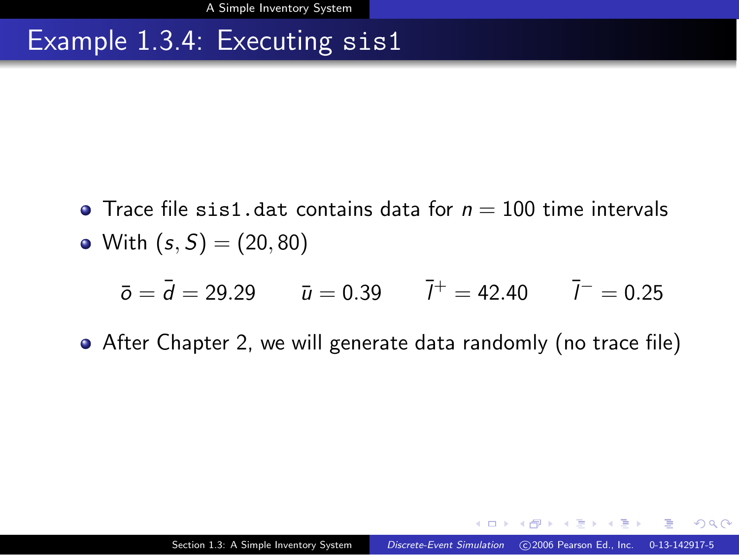# Example 1.3.4: Executing sis1

- Trace file sis1.dat contains data for  $n = 100$  time intervals
- With  $(s, S) = (20, 80)$

$$
\bar{\sigma} = \bar{d} = 29.29
$$
  $\bar{u} = 0.39$   $\bar{l}^+ = 42.40$   $\bar{l}^- = 0.25$ 

After Chapter 2, we will generate data randomly (no trace file)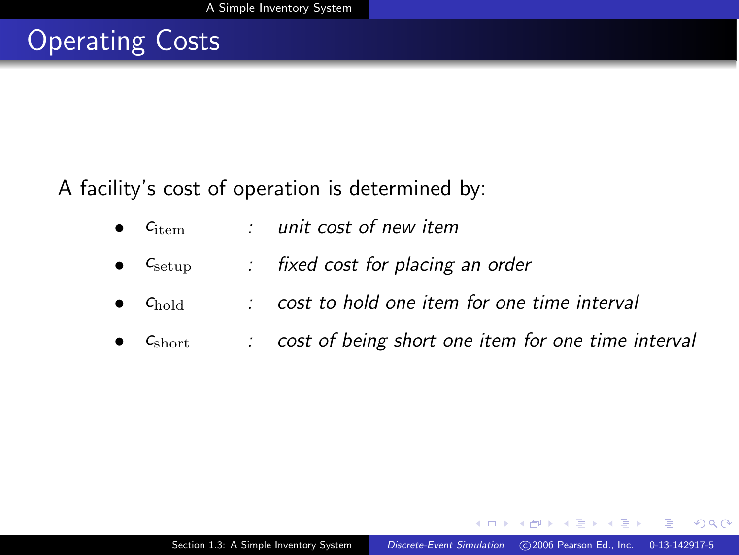# Operating Costs

A facility's cost of operation is determined by:

- $c_{\text{item}}$  : unit cost of new item
- $c_{\text{setup}}$  : fixed cost for placing an order
- chold : cost to hold one item for one time interval
- $c<sub>short</sub>$  : cost of being short one item for one time interval

 $\Omega$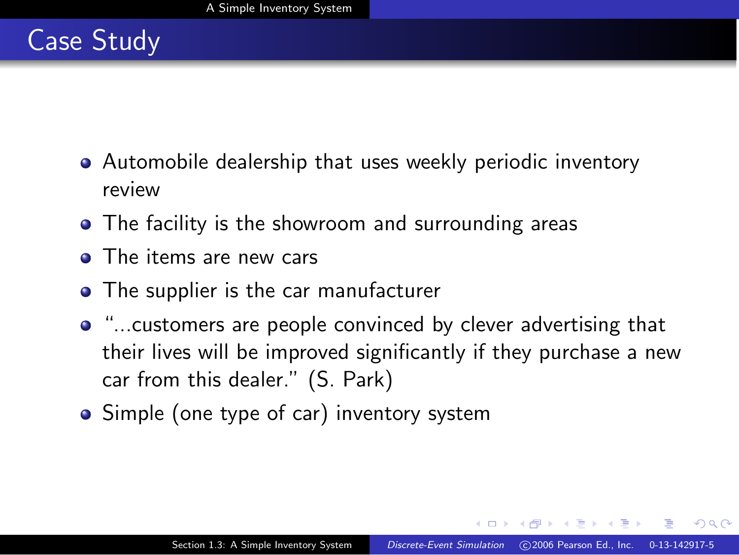

- Automobile dealership that uses weekly periodic inventory review
- The facility is the showroom and surrounding areas
- **O** The items are new cars
- The supplier is the car manufacturer
- "...customers are people convinced by clever advertising that their lives will be improved significantly if they purchase a new car from this dealer." (S. Park)
- Simple (one type of car) inventory system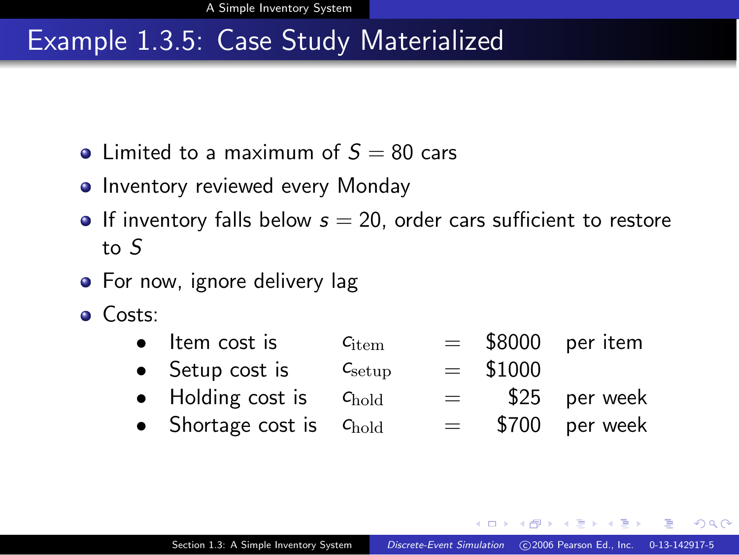# Example 1.3.5: Case Study Materialized

- Limited to a maximum of  $S = 80$  cars
- **Inventory reviewed every Monday**
- **If inventory falls below**  $s = 20$ **, order cars sufficient to restore** to S
- For now, ignore delivery lag
- Costs:
	- Item cost is  $c_{\text{item}} = $8000$  per item
	- Setup cost is  $c_{\text{setup}} = $1000$
	- Holding cost is  $c_{\text{hold}}$  = \$25 per week
	- Shortage cost is  $C_{\text{hold}}$  = \$700 per week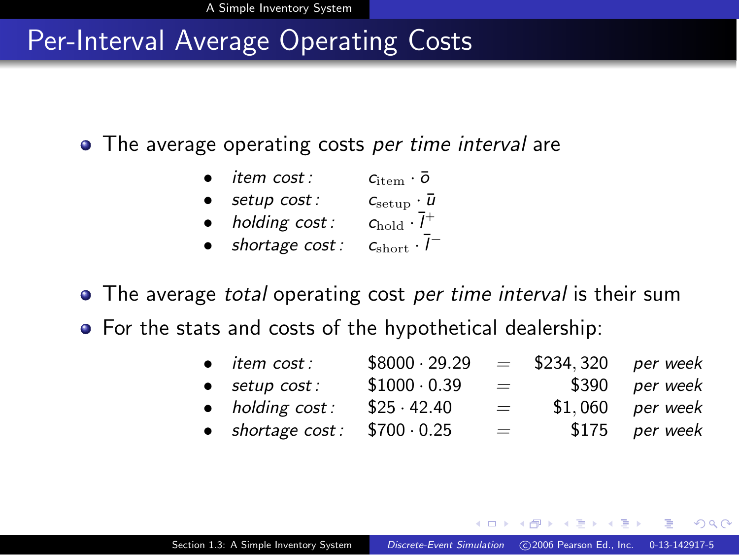### Per-Interval Average Operating Costs

#### • The average operating costs per time interval are

| $\bullet$ | item cost :    | $c_{\text{item}} \cdot \bar{o}$   |
|-----------|----------------|-----------------------------------|
| ٠         | setup cost:    | $c_{\text{setup}} \cdot \bar{u}$  |
| $\bullet$ | holding cost:  | $c_{\text{hold}} \cdot \bar{I}^+$ |
| $\bullet$ | shortage cost: | $c_{\rm short} \cdot l^{-1}$      |

• The average total operating cost per time interval is their sum

For the stats and costs of the hypothetical dealership:

| $\bullet$ item cost:                  | $$8000 \cdot 29.29$ |                           | $=$ \$234,320 per week |                   |
|---------------------------------------|---------------------|---------------------------|------------------------|-------------------|
| $\bullet$ setup cost:                 | $$1000 \cdot 0.39$  | $\mathbf{r} = \mathbf{r}$ |                        | \$390 per week    |
| $\bullet$ holding cost:               | $$25 \cdot 42.40$   | $=$                       |                        | $$1,060$ per week |
| • shortage $cost:$ \$700 $\cdot$ 0.25 |                     | $\mathbf{r} = \mathbf{r}$ |                        | $$175$ per week   |
|                                       |                     |                           |                        |                   |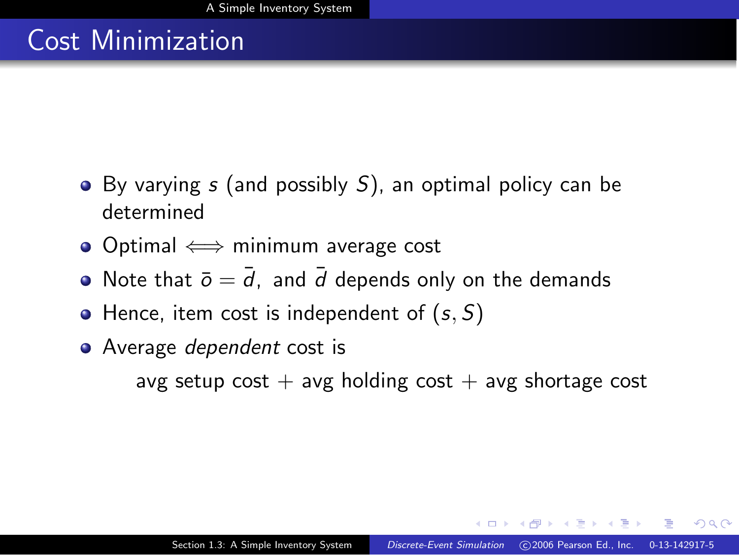# Cost Minimization

- $\bullet$  By varying s (and possibly S), an optimal policy can be determined
- Optimal ⇐⇒ minimum average cost
- Note that  $\bar{\sigma} = \bar{d}$ , and  $\bar{d}$  depends only on the demands
- $\bullet$  Hence, item cost is independent of  $(s, S)$
- Average *dependent* cost is

avg setup cost  $+$  avg holding cost  $+$  avg shortage cost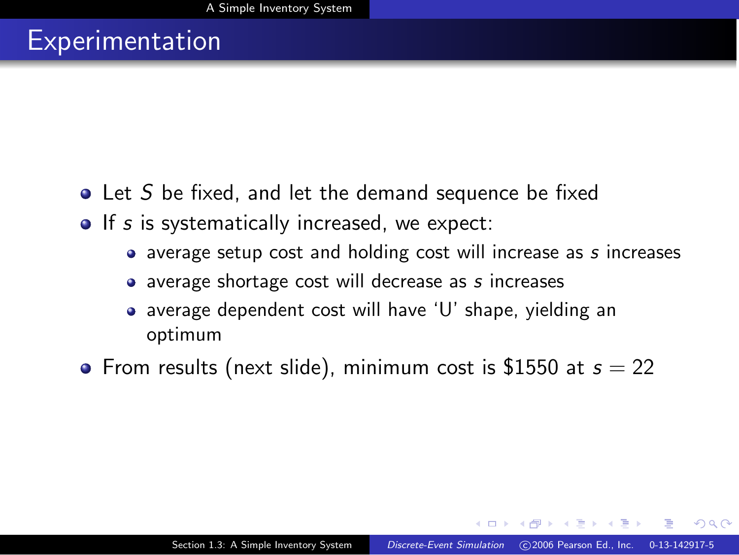### **Experimentation**

- Let S be fixed, and let the demand sequence be fixed
- $\bullet$  If s is systematically increased, we expect:
	- average setup cost and holding cost will increase as s increases
	- average shortage cost will decrease as s increases
	- average dependent cost will have 'U' shape, yielding an optimum
- From results (next slide), minimum cost is \$1550 at  $s = 22$